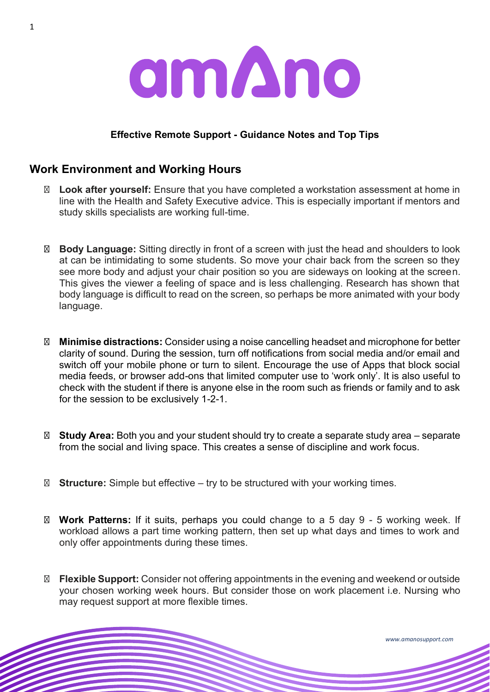

#### **Effective Remote Support - Guidance Notes and Top Tips**

## **Work Environment and Working Hours**

**Look after yourself:** Ensure that you have completed a workstation assessment at home in line with the Health and Safety Executive advice. This is especially important if mentors and study skills specialists are working full-time.

**Body Language:** Sitting directly in front of a screen with just the head and shoulders to look at can be intimidating to some students. So move your chair back from the screen so they see more body and adjust your chair position so you are sideways on looking at the screen. This gives the viewer a feeling of space and is less challenging. Research has shown that body language is difficult to read on the screen, so perhaps be more animated with your body language.

**Minimise distractions:** Consider using a noise cancelling headset and microphone for better clarity of sound. During the session, turn off notifications from social media and/or email and switch off your mobile phone or turn to silent. Encourage the use of Apps that block social media feeds, or browser add-ons that limited computer use to 'work only'. It is also useful to check with the student if there is anyone else in the room such as friends or family and to ask for the session to be exclusively 1-2-1.

**Study Area:** Both you and your student should try to create a separate study area – separate from the social and living space. This creates a sense of discipline and work focus.

**Structure:** Simple but effective – try to be structured with your working times.

**Work Patterns:** If it suits, perhaps you could change to a 5 day 9 - 5 working week. If workload allows a part time working pattern, then set up what days and times to work and only offer appointments during these times.

**Flexible Support:** Consider not offering appointments in the evening and weekend or outside your chosen working week hours. But consider those on work placement i.e. Nursing who may request support at more flexible times.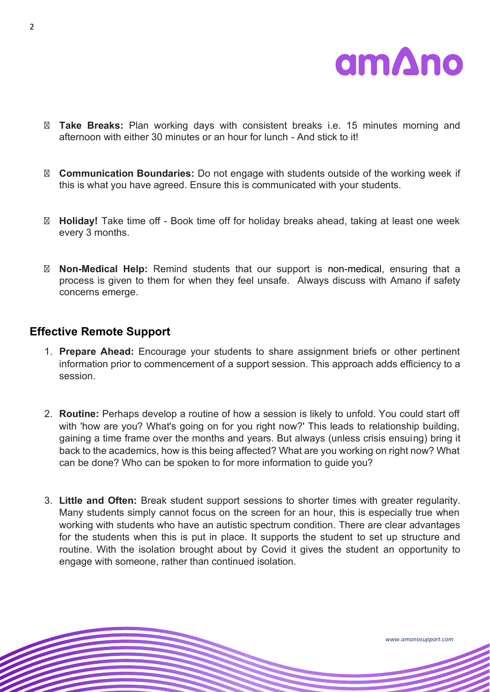

**Take Breaks:** Plan working days with consistent breaks i.e. 15 minutes morning and afternoon with either 30 minutes or an hour for lunch - And stick to it!

**Communication Boundaries:** Do not engage with students outside of the working week if this is what you have agreed. Ensure this is communicated with your students.

**Holiday!** Take time off - Book time off for holiday breaks ahead, taking at least one week every 3 months.

**Non-Medical Help:** Remind students that our support is non-medical, ensuring that a process is given to them for when they feel unsafe. Always discuss with Amano if safety concerns emerge.

#### **Effective Remote Support**

- 1. **Prepare Ahead:** Encourage your students to share assignment briefs or other pertinent information prior to commencement of a support session. This approach adds efficiency to a session.
- 2. **Routine:** Perhaps develop a routine of how a session is likely to unfold. You could start off with 'how are you? What's going on for you right now?' This leads to relationship building, gaining a time frame over the months and years. But always (unless crisis ensuing) bring it back to the academics, how is this being affected? What are you working on right now? What can be done? Who can be spoken to for more information to guide you?
- 3. **Little and Often:** Break student support sessions to shorter times with greater regularity. Many students simply cannot focus on the screen for an hour, this is especially true when working with students who have an autistic spectrum condition. There are clear advantages for the students when this is put in place. It supports the student to set up structure and routine. With the isolation brought about by Covid it gives the student an opportunity to engage with someone, rather than continued isolation.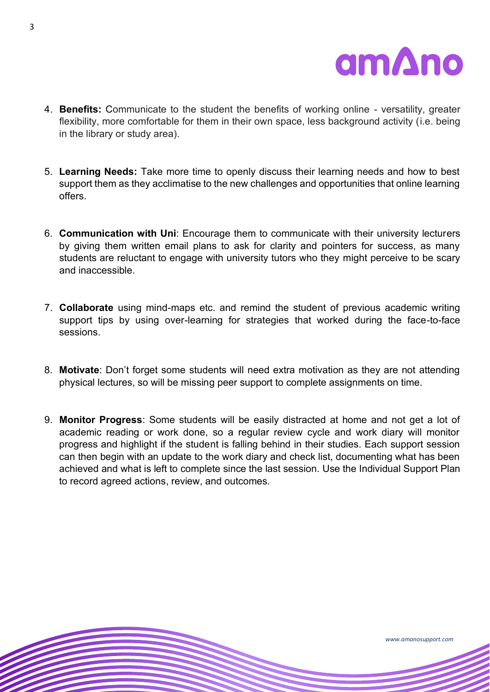

- 4. **Benefits:** Communicate to the student the benefits of working online versatility, greater flexibility, more comfortable for them in their own space, less background activity (i.e. being in the library or study area).
- 5. **Learning Needs:** Take more time to openly discuss their learning needs and how to best support them as they acclimatise to the new challenges and opportunities that online learning offers.
- 6. **Communication with Uni**: Encourage them to communicate with their university lecturers by giving them written email plans to ask for clarity and pointers for success, as many students are reluctant to engage with university tutors who they might perceive to be scary and inaccessible.
- 7. **Collaborate** using mind-maps etc. and remind the student of previous academic writing support tips by using over-learning for strategies that worked during the face-to-face sessions.
- 8. **Motivate**: Don't forget some students will need extra motivation as they are not attending physical lectures, so will be missing peer support to complete assignments on time.
- 9. **Monitor Progress**: Some students will be easily distracted at home and not get a lot of academic reading or work done, so a regular review cycle and work diary will monitor progress and highlight if the student is falling behind in their studies. Each support session can then begin with an update to the work diary and check list, documenting what has been achieved and what is left to complete since the last session. Use the Individual Support Plan to record agreed actions, review, and outcomes.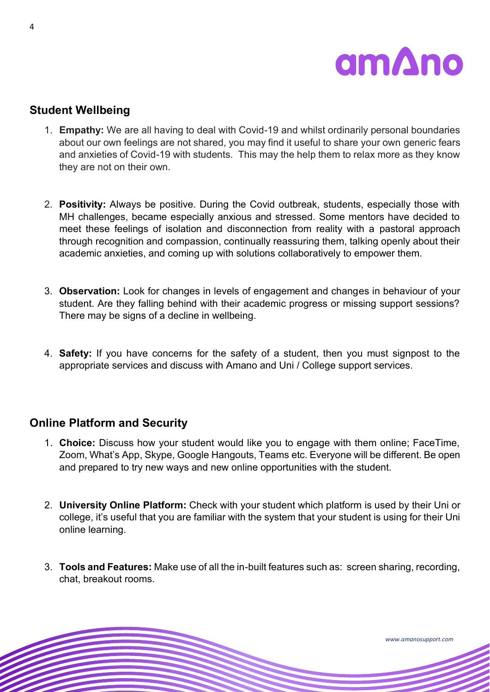

# **Student Wellbeing**

- 1. **Empathy:** We are all having to deal with Covid-19 and whilst ordinarily personal boundaries about our own feelings are not shared, you may find it useful to share your own generic fears and anxieties of Covid-19 with students. This may the help them to relax more as they know they are not on their own.
- 2. **Positivity:** Always be positive. During the Covid outbreak, students, especially those with MH challenges, became especially anxious and stressed. Some mentors have decided to meet these feelings of isolation and disconnection from reality with a pastoral approach through recognition and compassion, continually reassuring them, talking openly about their academic anxieties, and coming up with solutions collaboratively to empower them.
- 3. **Observation:** Look for changes in levels of engagement and changes in behaviour of your student. Are they falling behind with their academic progress or missing support sessions? There may be signs of a decline in wellbeing.
- 4. **Safety:** If you have concerns for the safety of a student, then you must signpost to the appropriate services and discuss with Amano and Uni / College support services.

### **Online Platform and Security**

- 1. **Choice:** Discuss how your student would like you to engage with them online; FaceTime, Zoom, What's App, Skype, Google Hangouts, Teams etc. Everyone will be different. Be open and prepared to try new ways and new online opportunities with the student.
- 2. **University Online Platform:** Check with your student which platform is used by their Uni or college, it's useful that you are familiar with the system that your student is using for their Uni online learning.
- 3. **Tools and Features:** Make use of all the in-built features such as: screen sharing, recording, chat, breakout rooms.

4